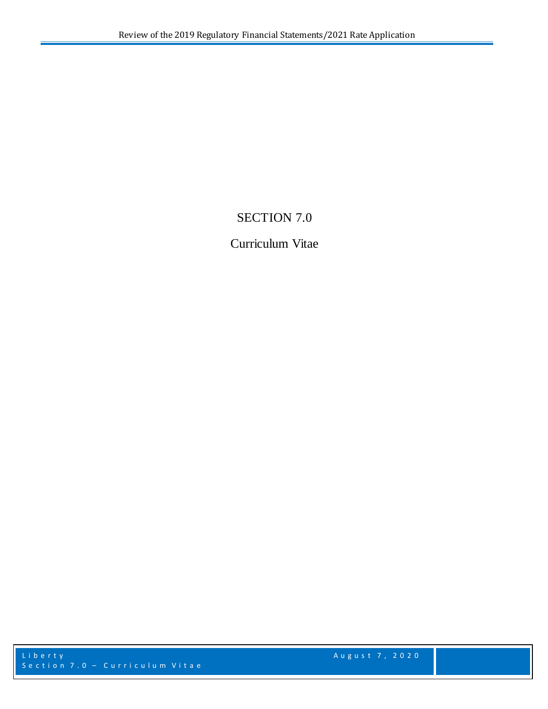## SECTION 7.0

## Curriculum Vitae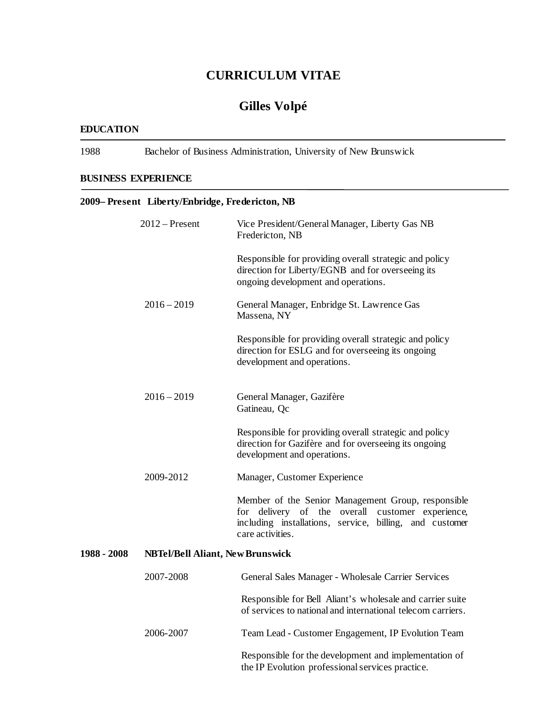## **CURRICULUM VITAE**

## **Gilles Volpé**

#### **EDUCATION**

1988 Bachelor of Business Administration, University of New Brunswick

### **BUSINESS EXPERIENCE**

|             | 2009– Present Liberty/Enbridge, Fredericton, NB |                                                                                                                                                                                       |
|-------------|-------------------------------------------------|---------------------------------------------------------------------------------------------------------------------------------------------------------------------------------------|
|             | $2012$ – Present                                | Vice President/General Manager, Liberty Gas NB<br>Fredericton, NB                                                                                                                     |
|             |                                                 | Responsible for providing overall strategic and policy<br>direction for Liberty/EGNB and for overseeing its<br>ongoing development and operations.                                    |
|             | $2016 - 2019$                                   | General Manager, Enbridge St. Lawrence Gas<br>Massena, NY                                                                                                                             |
|             |                                                 | Responsible for providing overall strategic and policy<br>direction for ESLG and for overseeing its ongoing<br>development and operations.                                            |
|             | $2016 - 2019$                                   | General Manager, Gazifère<br>Gatineau, Qc                                                                                                                                             |
|             |                                                 | Responsible for providing overall strategic and policy<br>direction for Gazifère and for overseeing its ongoing<br>development and operations.                                        |
|             | 2009-2012                                       | Manager, Customer Experience                                                                                                                                                          |
|             |                                                 | Member of the Senior Management Group, responsible<br>for delivery of the overall customer experience,<br>including installations, service, billing, and customer<br>care activities. |
| 1988 - 2008 | <b>NBTel/Bell Aliant, New Brunswick</b>         |                                                                                                                                                                                       |
|             | 2007-2008                                       | General Sales Manager - Wholesale Carrier Services                                                                                                                                    |
|             |                                                 | Responsible for Bell Aliant's wholesale and carrier suite<br>of services to national and international telecom carriers.                                                              |
|             | 2006-2007                                       | Team Lead - Customer Engagement, IP Evolution Team                                                                                                                                    |
|             |                                                 | Responsible for the development and implementation of<br>the IP Evolution professional services practice.                                                                             |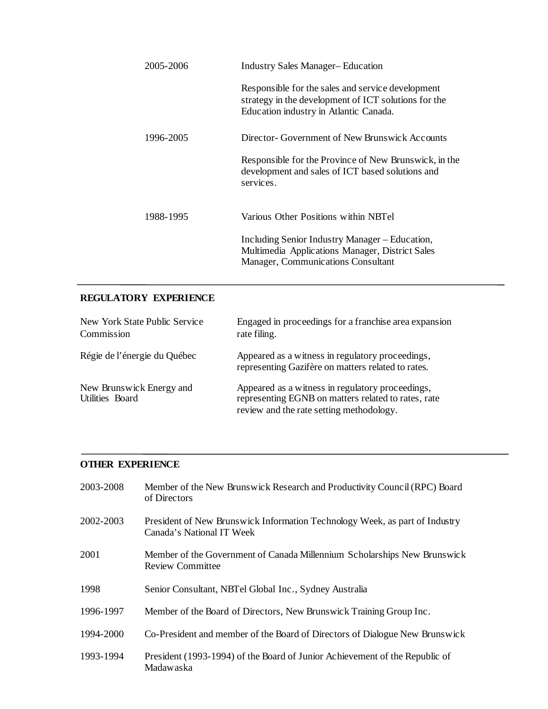| 2005-2006 | <b>Industry Sales Manager–Education</b>                                                                                                             |
|-----------|-----------------------------------------------------------------------------------------------------------------------------------------------------|
|           | Responsible for the sales and service development<br>strategy in the development of ICT solutions for the<br>Education industry in Atlantic Canada. |
| 1996-2005 | Director- Government of New Brunswick Accounts                                                                                                      |
|           | Responsible for the Province of New Brunswick, in the<br>development and sales of ICT based solutions and<br>services.                              |
| 1988-1995 | Various Other Positions within NBTel                                                                                                                |
|           | Including Senior Industry Manager – Education,<br>Multimedia Applications Manager, District Sales<br>Manager, Communications Consultant             |

## **REGULATORY EXPERIENCE**

| New York State Public Service<br>Commission | Engaged in proceedings for a franchise area expansion<br>rate filing.                                                                               |
|---------------------------------------------|-----------------------------------------------------------------------------------------------------------------------------------------------------|
| Régie de l'énergie du Québec                | Appeared as a witness in regulatory proceedings,<br>representing Gazifère on matters related to rates.                                              |
| New Brunswick Energy and<br>Utilities Board | Appeared as a witness in regulatory proceedings,<br>representing EGNB on matters related to rates, rate<br>review and the rate setting methodology. |

### **OTHER EXPERIENCE**

| 2003-2008 | Member of the New Brunswick Research and Productivity Council (RPC) Board<br>of Directors                |
|-----------|----------------------------------------------------------------------------------------------------------|
| 2002-2003 | President of New Brunswick Information Technology Week, as part of Industry<br>Canada's National IT Week |
| 2001      | Member of the Government of Canada Millennium Scholarships New Brunswick<br><b>Review Committee</b>      |
| 1998      | Senior Consultant, NBTel Global Inc., Sydney Australia                                                   |
| 1996-1997 | Member of the Board of Directors, New Brunswick Training Group Inc.                                      |
| 1994-2000 | Co-President and member of the Board of Directors of Dialogue New Brunswick                              |
| 1993-1994 | President (1993-1994) of the Board of Junior Achievement of the Republic of<br>Madawaska                 |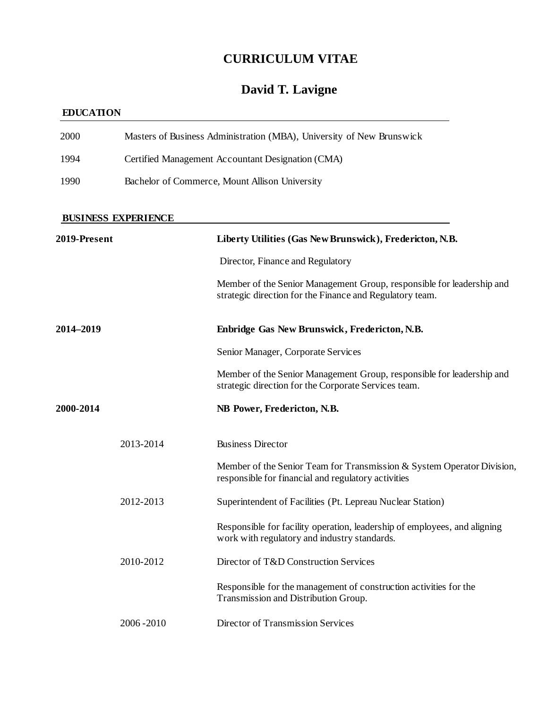## **CURRICULUM VITAE**

# **David T. Lavigne**

### **EDUCATION**

| 2000         |                                                | Masters of Business Administration (MBA), University of New Brunswick                                                             |
|--------------|------------------------------------------------|-----------------------------------------------------------------------------------------------------------------------------------|
| 1994         |                                                | Certified Management Accountant Designation (CMA)                                                                                 |
| 1990         | Bachelor of Commerce, Mount Allison University |                                                                                                                                   |
|              | <b>BUSINESS EXPERIENCE</b>                     |                                                                                                                                   |
| 2019-Present |                                                | Liberty Utilities (Gas New Brunswick), Fredericton, N.B.                                                                          |
|              |                                                | Director, Finance and Regulatory                                                                                                  |
|              |                                                | Member of the Senior Management Group, responsible for leadership and<br>strategic direction for the Finance and Regulatory team. |
| 2014–2019    |                                                | Enbridge Gas New Brunswick, Fredericton, N.B.                                                                                     |
|              |                                                | Senior Manager, Corporate Services                                                                                                |
|              |                                                | Member of the Senior Management Group, responsible for leadership and<br>strategic direction for the Corporate Services team.     |
| 2000-2014    |                                                | NB Power, Fredericton, N.B.                                                                                                       |
|              | 2013-2014                                      | <b>Business Director</b>                                                                                                          |
|              |                                                | Member of the Senior Team for Transmission & System Operator Division,<br>responsible for financial and regulatory activities     |
|              | 2012-2013                                      | Superintendent of Facilities (Pt. Lepreau Nuclear Station)                                                                        |
|              |                                                | Responsible for facility operation, leadership of employees, and aligning<br>work with regulatory and industry standards.         |
|              | 2010-2012                                      | Director of T&D Construction Services                                                                                             |
|              |                                                | Responsible for the management of construction activities for the<br>Transmission and Distribution Group.                         |
|              | 2006-2010                                      | Director of Transmission Services                                                                                                 |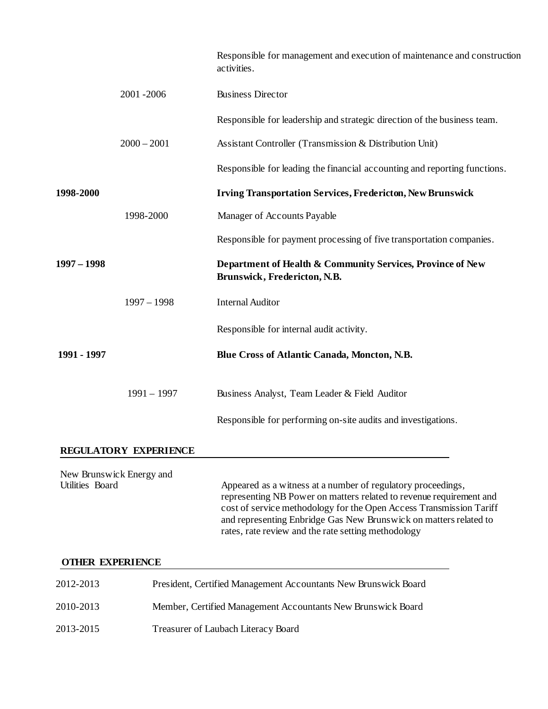| 2001-2006<br>$2000 - 2001$<br>1998-2000 | <b>Business Director</b><br>Assistant Controller (Transmission & Distribution Unit)<br><b>Irving Transportation Services, Fredericton, New Brunswick</b>                                                                                                                                                                               |
|-----------------------------------------|----------------------------------------------------------------------------------------------------------------------------------------------------------------------------------------------------------------------------------------------------------------------------------------------------------------------------------------|
|                                         | Responsible for leadership and strategic direction of the business team.<br>Responsible for leading the financial accounting and reporting functions.                                                                                                                                                                                  |
|                                         |                                                                                                                                                                                                                                                                                                                                        |
|                                         |                                                                                                                                                                                                                                                                                                                                        |
|                                         |                                                                                                                                                                                                                                                                                                                                        |
|                                         |                                                                                                                                                                                                                                                                                                                                        |
|                                         | Manager of Accounts Payable                                                                                                                                                                                                                                                                                                            |
|                                         | Responsible for payment processing of five transportation companies.                                                                                                                                                                                                                                                                   |
|                                         | Department of Health & Community Services, Province of New<br>Brunswick, Fredericton, N.B.                                                                                                                                                                                                                                             |
| $1997 - 1998$                           | <b>Internal Auditor</b>                                                                                                                                                                                                                                                                                                                |
|                                         | Responsible for internal audit activity.                                                                                                                                                                                                                                                                                               |
|                                         | Blue Cross of Atlantic Canada, Moncton, N.B.                                                                                                                                                                                                                                                                                           |
| $1991 - 1997$                           | Business Analyst, Team Leader & Field Auditor                                                                                                                                                                                                                                                                                          |
|                                         | Responsible for performing on-site audits and investigations.                                                                                                                                                                                                                                                                          |
| REGULATORY EXPERIENCE                   |                                                                                                                                                                                                                                                                                                                                        |
| New Brunswick Energy and                | Appeared as a witness at a number of regulatory proceedings,<br>representing NB Power on matters related to revenue requirement and<br>cost of service methodology for the Open Access Transmission Tariff<br>and representing Enbridge Gas New Brunswick on matters related to<br>rates, rate review and the rate setting methodology |
| <b>OTHER EXPERIENCE</b>                 |                                                                                                                                                                                                                                                                                                                                        |
|                                         | President, Certified Management Accountants New Brunswick Board                                                                                                                                                                                                                                                                        |

- 2010-2013 Member, Certified Management Accountants New Brunswick Board
- 2013-2015 Treasurer of Laubach Literacy Board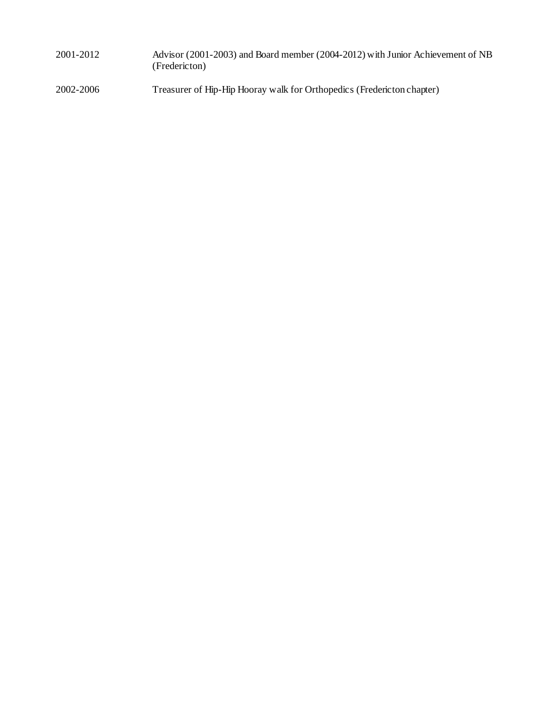| 2001-2012 | Advisor (2001-2003) and Board member (2004-2012) with Junior Achievement of NB |
|-----------|--------------------------------------------------------------------------------|
|           | (Fredericton)                                                                  |
|           |                                                                                |

2002-2006 Treasurer of Hip-Hip Hooray walk for Orthopedics (Fredericton chapter)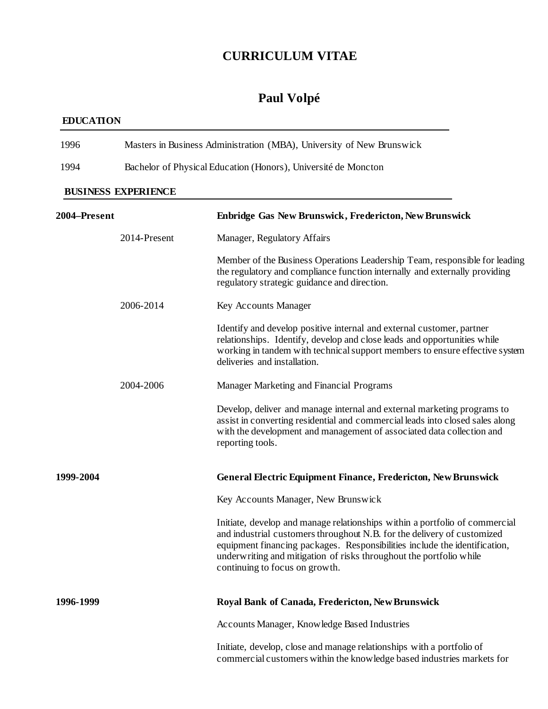## **CURRICULUM VITAE**

# **Paul Volpé**

## **EDUCATION**

| 2004–Present               | <b>Enbridge Gas New Brunswick, Fredericton, New Brunswick</b>         |  |  |  |
|----------------------------|-----------------------------------------------------------------------|--|--|--|
| <b>BUSINESS EXPERIENCE</b> |                                                                       |  |  |  |
| 1994                       | Bachelor of Physical Education (Honors), Université de Moncton        |  |  |  |
| 1996                       | Masters in Business Administration (MBA), University of New Brunswick |  |  |  |

| 2004–Present |              | Enbridge Gas New Brunswick, Fredericton, New Brunswick                                                                                                                                                                                                                                                                                        |
|--------------|--------------|-----------------------------------------------------------------------------------------------------------------------------------------------------------------------------------------------------------------------------------------------------------------------------------------------------------------------------------------------|
|              | 2014-Present | Manager, Regulatory Affairs                                                                                                                                                                                                                                                                                                                   |
|              |              | Member of the Business Operations Leadership Team, responsible for leading<br>the regulatory and compliance function internally and externally providing<br>regulatory strategic guidance and direction.                                                                                                                                      |
|              | 2006-2014    | Key Accounts Manager                                                                                                                                                                                                                                                                                                                          |
|              |              | Identify and develop positive internal and external customer, partner<br>relationships. Identify, develop and close leads and opportunities while<br>working in tandem with technical support members to ensure effective system<br>deliveries and installation.                                                                              |
|              | 2004-2006    | Manager Marketing and Financial Programs                                                                                                                                                                                                                                                                                                      |
|              |              | Develop, deliver and manage internal and external marketing programs to<br>assist in converting residential and commercial leads into closed sales along<br>with the development and management of associated data collection and<br>reporting tools.                                                                                         |
| 1999-2004    |              | General Electric Equipment Finance, Fredericton, New Brunswick                                                                                                                                                                                                                                                                                |
|              |              | Key Accounts Manager, New Brunswick                                                                                                                                                                                                                                                                                                           |
|              |              | Initiate, develop and manage relationships within a portfolio of commercial<br>and industrial customers throughout N.B. for the delivery of customized<br>equipment financing packages. Responsibilities include the identification,<br>underwriting and mitigation of risks throughout the portfolio while<br>continuing to focus on growth. |
| 1996-1999    |              | Royal Bank of Canada, Fredericton, New Brunswick                                                                                                                                                                                                                                                                                              |
|              |              | Accounts Manager, Knowledge Based Industries                                                                                                                                                                                                                                                                                                  |
|              |              | Initiate, develop, close and manage relationships with a portfolio of<br>commercial customers within the knowledge based industries markets for                                                                                                                                                                                               |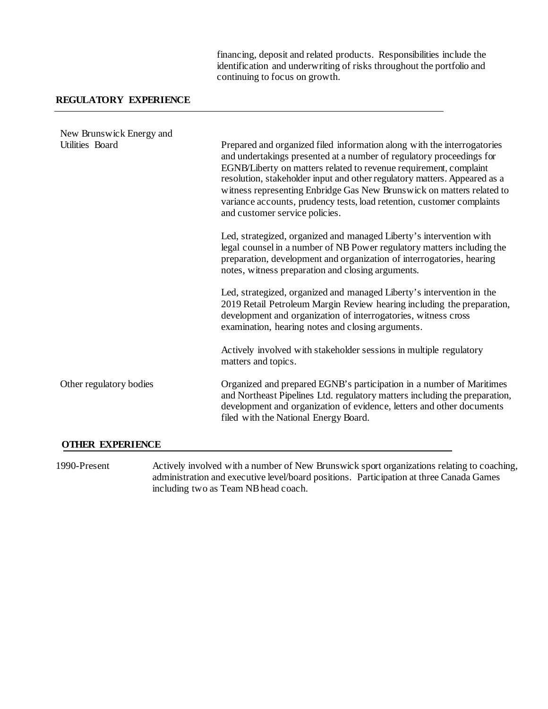financing, deposit and related products. Responsibilities include the identification and underwriting of risks throughout the portfolio and continuing to focus on growth.

#### **REGULATORY EXPERIENCE**

| New Brunswick Energy and |                                                                                                                                                                                                                                                                                                                                                                                                                                                                                        |
|--------------------------|----------------------------------------------------------------------------------------------------------------------------------------------------------------------------------------------------------------------------------------------------------------------------------------------------------------------------------------------------------------------------------------------------------------------------------------------------------------------------------------|
| Utilities Board          | Prepared and organized filed information along with the interrogatories<br>and undertakings presented at a number of regulatory proceedings for<br>EGNB/Liberty on matters related to revenue requirement, complaint<br>resolution, stakeholder input and other regulatory matters. Appeared as a<br>witness representing Enbridge Gas New Brunswick on matters related to<br>variance accounts, prudency tests, load retention, customer complaints<br>and customer service policies. |
|                          | Led, strategized, organized and managed Liberty's intervention with<br>legal counsel in a number of NB Power regulatory matters including the<br>preparation, development and organization of interrogatories, hearing<br>notes, witness preparation and closing arguments.                                                                                                                                                                                                            |
|                          | Led, strategized, organized and managed Liberty's intervention in the<br>2019 Retail Petroleum Margin Review hearing including the preparation,<br>development and organization of interrogatories, witness cross<br>examination, hearing notes and closing arguments.                                                                                                                                                                                                                 |
|                          | Actively involved with stakeholder sessions in multiple regulatory<br>matters and topics.                                                                                                                                                                                                                                                                                                                                                                                              |
| Other regulatory bodies  | Organized and prepared EGNB's participation in a number of Maritimes<br>and Northeast Pipelines Ltd. regulatory matters including the preparation,<br>development and organization of evidence, letters and other documents<br>filed with the National Energy Board.                                                                                                                                                                                                                   |
|                          |                                                                                                                                                                                                                                                                                                                                                                                                                                                                                        |

#### **OTHER EXPERIENCE**

1990-Present Actively involved with a number of New Brunswick sport organizations relating to coaching, administration and executive level/board positions. Participation at three Canada Games including two as Team NB head coach.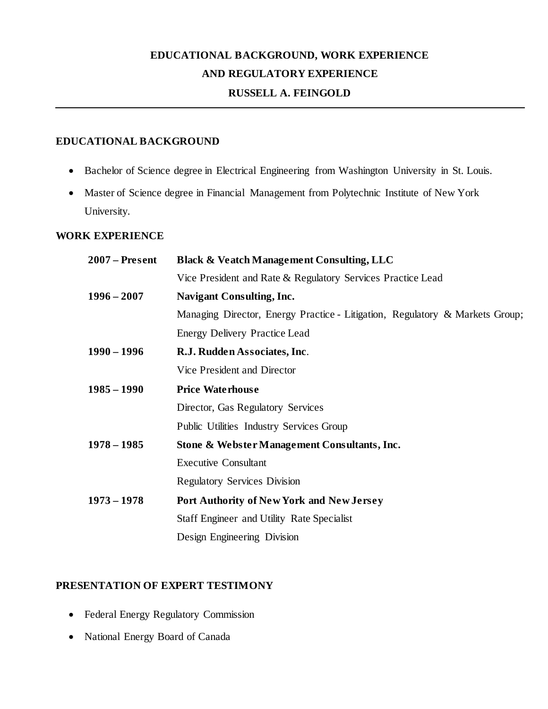## **EDUCATIONAL BACKGROUND, WORK EXPERIENCE AND REGULATORY EXPERIENCE**

#### **RUSSELL A. FEINGOLD**

#### **EDUCATIONAL BACKGROUND**

- Bachelor of Science degree in Electrical Engineering from Washington University in St. Louis.
- Master of Science degree in Financial Management from Polytechnic Institute of New York University.

#### **WORK EXPERIENCE**

| $2007$ – Present | <b>Black &amp; Veatch Management Consulting, LLC</b>                         |  |
|------------------|------------------------------------------------------------------------------|--|
|                  | Vice President and Rate & Regulatory Services Practice Lead                  |  |
| $1996 - 2007$    | <b>Navigant Consulting, Inc.</b>                                             |  |
|                  | Managing Director, Energy Practice - Litigation, Regulatory & Markets Group; |  |
|                  | <b>Energy Delivery Practice Lead</b>                                         |  |
| $1990 - 1996$    | R.J. Rudden Associates, Inc.                                                 |  |
|                  | Vice President and Director                                                  |  |
| $1985 - 1990$    | <b>Price Waterhouse</b>                                                      |  |
|                  | Director, Gas Regulatory Services                                            |  |
|                  | Public Utilities Industry Services Group                                     |  |
| $1978 - 1985$    | Stone & Webster Management Consultants, Inc.                                 |  |
|                  | <b>Executive Consultant</b>                                                  |  |
|                  | <b>Regulatory Services Division</b>                                          |  |
| $1973 - 1978$    | Port Authority of New York and New Jersey                                    |  |
|                  | Staff Engineer and Utility Rate Specialist                                   |  |
|                  | Design Engineering Division                                                  |  |
|                  |                                                                              |  |

#### **PRESENTATION OF EXPERT TESTIMONY**

- Federal Energy Regulatory Commission
- National Energy Board of Canada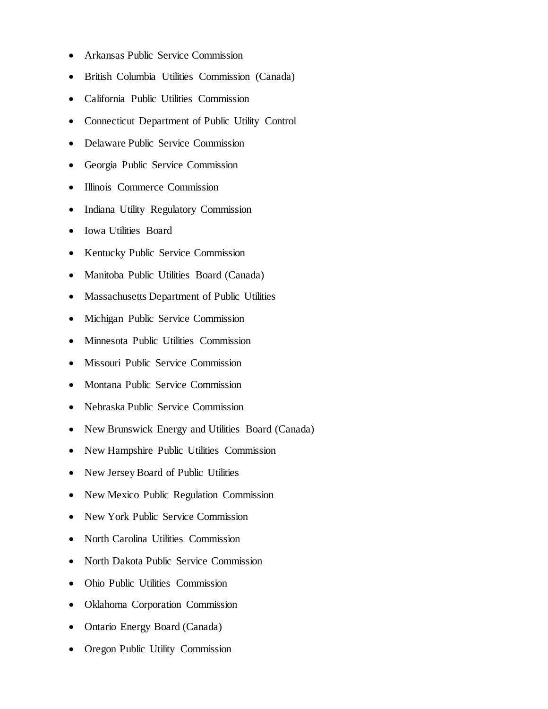- Arkansas Public Service Commission
- British Columbia Utilities Commission (Canada)
- California Public Utilities Commission
- Connecticut Department of Public Utility Control
- Delaware Public Service Commission
- Georgia Public Service Commission
- Illinois Commerce Commission
- Indiana Utility Regulatory Commission
- Iowa Utilities Board
- Kentucky Public Service Commission
- Manitoba Public Utilities Board (Canada)
- Massachusetts Department of Public Utilities
- Michigan Public Service Commission
- Minnesota Public Utilities Commission
- Missouri Public Service Commission
- Montana Public Service Commission
- Nebraska Public Service Commission
- New Brunswick Energy and Utilities Board (Canada)
- New Hampshire Public Utilities Commission
- New Jersey Board of Public Utilities
- New Mexico Public Regulation Commission
- New York Public Service Commission
- North Carolina Utilities Commission
- North Dakota Public Service Commission
- Ohio Public Utilities Commission
- Oklahoma Corporation Commission
- Ontario Energy Board (Canada)
- Oregon Public Utility Commission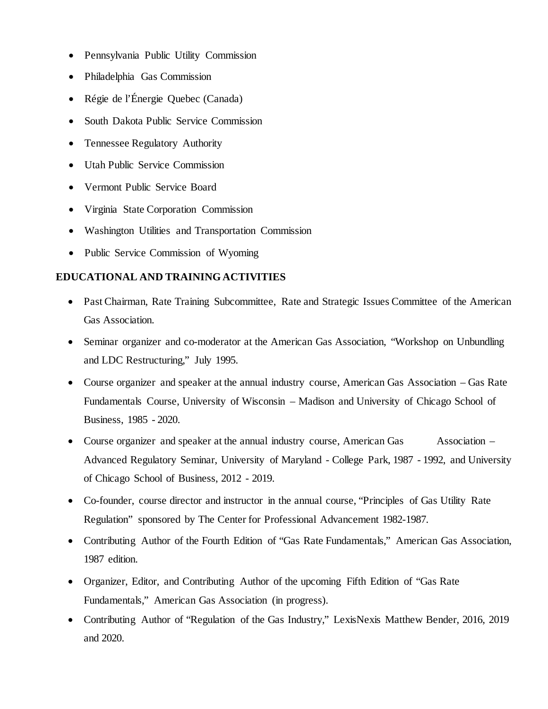- Pennsylvania Public Utility Commission
- Philadelphia Gas Commission
- Régie de l'Énergie Quebec (Canada)
- South Dakota Public Service Commission
- Tennessee Regulatory Authority
- Utah Public Service Commission
- Vermont Public Service Board
- Virginia State Corporation Commission
- Washington Utilities and Transportation Commission
- Public Service Commission of Wyoming

### **EDUCATIONAL AND TRAINING ACTIVITIES**

- Past Chairman, Rate Training Subcommittee, Rate and Strategic Issues Committee of the American Gas Association.
- Seminar organizer and co-moderator at the American Gas Association, "Workshop on Unbundling and LDC Restructuring," July 1995.
- Course organizer and speaker at the annual industry course, American Gas Association Gas Rate Fundamentals Course, University of Wisconsin – Madison and University of Chicago School of Business, 1985 - 2020.
- Course organizer and speaker at the annual industry course, American Gas Association Advanced Regulatory Seminar, University of Maryland - College Park, 1987 - 1992, and University of Chicago School of Business, 2012 - 2019.
- Co-founder, course director and instructor in the annual course, "Principles of Gas Utility Rate Regulation" sponsored by The Center for Professional Advancement 1982-1987.
- Contributing Author of the Fourth Edition of "Gas Rate Fundamentals," American Gas Association, 1987 edition.
- Organizer, Editor, and Contributing Author of the upcoming Fifth Edition of "Gas Rate Fundamentals," American Gas Association (in progress).
- Contributing Author of "Regulation of the Gas Industry," LexisNexis Matthew Bender, 2016, 2019 and 2020.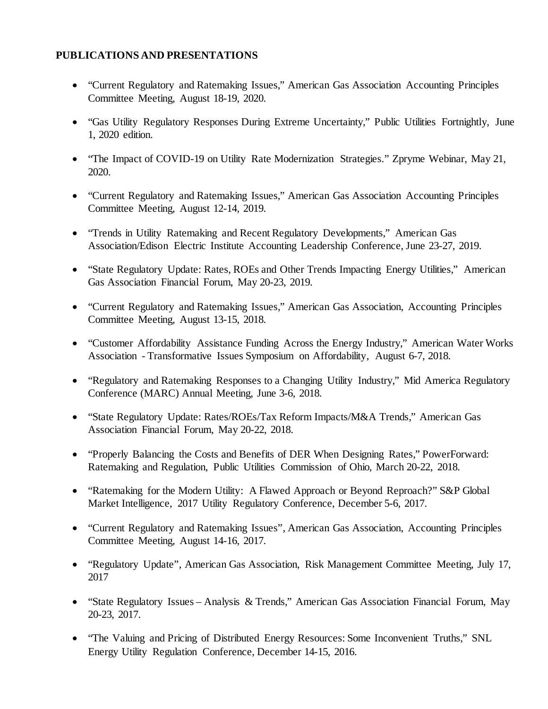### **PUBLICATIONS AND PRESENTATIONS**

- "Current Regulatory and Ratemaking Issues," American Gas Association Accounting Principles Committee Meeting, August 18-19, 2020.
- "Gas Utility Regulatory Responses During Extreme Uncertainty," Public Utilities Fortnightly, June 1, 2020 edition.
- "The Impact of COVID-19 on Utility Rate Modernization Strategies." Zpryme Webinar, May 21, 2020.
- "Current Regulatory and Ratemaking Issues," American Gas Association Accounting Principles Committee Meeting, August 12-14, 2019.
- "Trends in Utility Ratemaking and Recent Regulatory Developments," American Gas Association/Edison Electric Institute Accounting Leadership Conference, June 23-27, 2019.
- "State Regulatory Update: Rates, ROEs and Other Trends Impacting Energy Utilities," American Gas Association Financial Forum, May 20-23, 2019.
- "Current Regulatory and Ratemaking Issues," American Gas Association, Accounting Principles Committee Meeting, August 13-15, 2018.
- "Customer Affordability Assistance Funding Across the Energy Industry," American Water Works Association - Transformative Issues Symposium on Affordability, August 6-7, 2018.
- "Regulatory and Ratemaking Responses to a Changing Utility Industry," Mid America Regulatory Conference (MARC) Annual Meeting, June 3-6, 2018.
- "State Regulatory Update: Rates/ROEs/Tax Reform Impacts/M&A Trends," American Gas Association Financial Forum, May 20-22, 2018.
- "Properly Balancing the Costs and Benefits of DER When Designing Rates," PowerForward: Ratemaking and Regulation, Public Utilities Commission of Ohio, March 20-22, 2018.
- "Ratemaking for the Modern Utility: A Flawed Approach or Beyond Reproach?" S&P Global Market Intelligence, 2017 Utility Regulatory Conference, December 5-6, 2017.
- "Current Regulatory and Ratemaking Issues", American Gas Association, Accounting Principles Committee Meeting, August 14-16, 2017.
- "Regulatory Update", American Gas Association, Risk Management Committee Meeting, July 17, 2017
- "State Regulatory Issues Analysis & Trends," American Gas Association Financial Forum, May 20-23, 2017.
- "The Valuing and Pricing of Distributed Energy Resources: Some Inconvenient Truths," SNL Energy Utility Regulation Conference, December 14-15, 2016.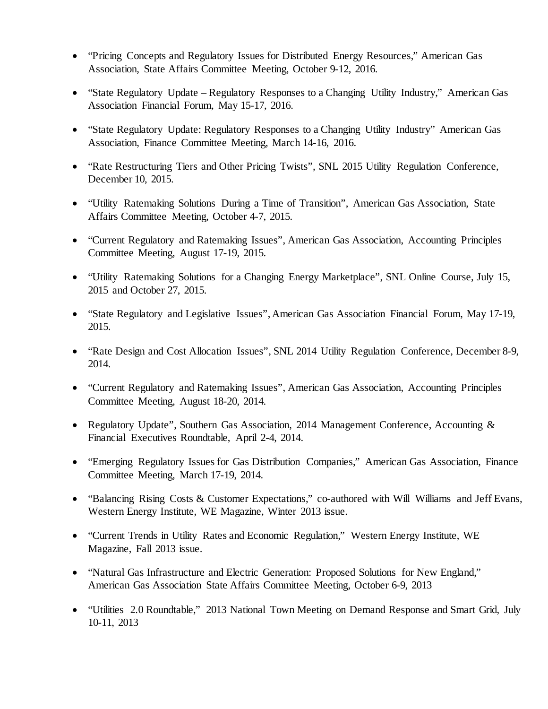- "Pricing Concepts and Regulatory Issues for Distributed Energy Resources," American Gas Association, State Affairs Committee Meeting, October 9-12, 2016.
- "State Regulatory Update Regulatory Responses to a Changing Utility Industry," American Gas Association Financial Forum, May 15-17, 2016.
- "State Regulatory Update: Regulatory Responses to a Changing Utility Industry" American Gas Association, Finance Committee Meeting, March 14-16, 2016.
- "Rate Restructuring Tiers and Other Pricing Twists", SNL 2015 Utility Regulation Conference, December 10, 2015.
- "Utility Ratemaking Solutions During a Time of Transition", American Gas Association, State Affairs Committee Meeting, October 4-7, 2015.
- "Current Regulatory and Ratemaking Issues", American Gas Association, Accounting Principles Committee Meeting, August 17-19, 2015.
- "Utility Ratemaking Solutions for a Changing Energy Marketplace", SNL Online Course, July 15, 2015 and October 27, 2015.
- "State Regulatory and Legislative Issues", American Gas Association Financial Forum, May 17-19, 2015.
- "Rate Design and Cost Allocation Issues", SNL 2014 Utility Regulation Conference, December 8-9, 2014.
- "Current Regulatory and Ratemaking Issues", American Gas Association, Accounting Principles Committee Meeting, August 18-20, 2014.
- Regulatory Update", Southern Gas Association, 2014 Management Conference, Accounting & Financial Executives Roundtable, April 2-4, 2014.
- "Emerging Regulatory Issues for Gas Distribution Companies," American Gas Association, Finance Committee Meeting, March 17-19, 2014.
- "Balancing Rising Costs & Customer Expectations," co-authored with Will Williams and Jeff Evans, Western Energy Institute, WE Magazine, Winter 2013 issue.
- "Current Trends in Utility Rates and Economic Regulation," Western Energy Institute, WE Magazine, Fall 2013 issue.
- "Natural Gas Infrastructure and Electric Generation: Proposed Solutions for New England," American Gas Association State Affairs Committee Meeting, October 6-9, 2013
- "Utilities 2.0 Roundtable," 2013 National Town Meeting on Demand Response and Smart Grid, July 10-11, 2013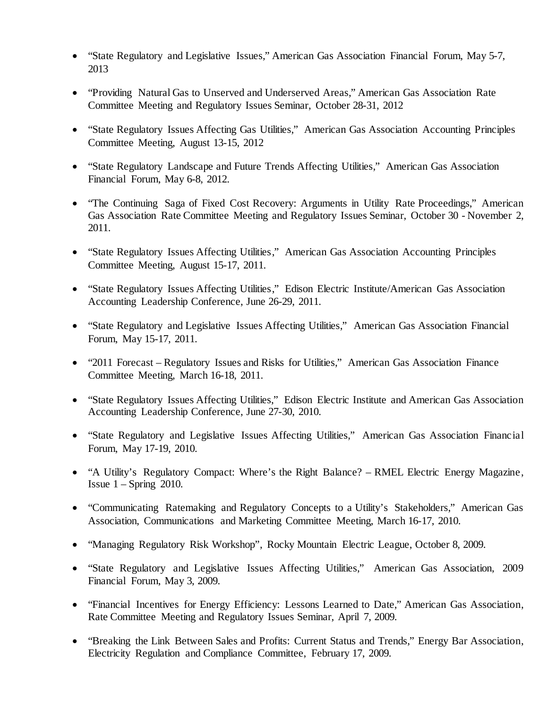- "State Regulatory and Legislative Issues," American Gas Association Financial Forum, May 5-7, 2013
- "Providing Natural Gas to Unserved and Underserved Areas," American Gas Association Rate Committee Meeting and Regulatory Issues Seminar, October 28-31, 2012
- "State Regulatory Issues Affecting Gas Utilities," American Gas Association Accounting Principles Committee Meeting, August 13-15, 2012
- "State Regulatory Landscape and Future Trends Affecting Utilities," American Gas Association Financial Forum, May 6-8, 2012.
- "The Continuing Saga of Fixed Cost Recovery: Arguments in Utility Rate Proceedings," American Gas Association Rate Committee Meeting and Regulatory Issues Seminar, October 30 - November 2, 2011.
- "State Regulatory Issues Affecting Utilities," American Gas Association Accounting Principles Committee Meeting, August 15-17, 2011.
- "State Regulatory Issues Affecting Utilities," Edison Electric Institute/American Gas Association Accounting Leadership Conference, June 26-29, 2011.
- "State Regulatory and Legislative Issues Affecting Utilities," American Gas Association Financial Forum, May 15-17, 2011.
- "2011 Forecast Regulatory Issues and Risks for Utilities," American Gas Association Finance Committee Meeting, March 16-18, 2011.
- "State Regulatory Issues Affecting Utilities," Edison Electric Institute and American Gas Association Accounting Leadership Conference, June 27-30, 2010.
- "State Regulatory and Legislative Issues Affecting Utilities," American Gas Association Financial Forum, May 17-19, 2010.
- "A Utility's Regulatory Compact: Where's the Right Balance? RMEL Electric Energy Magazine, Issue  $1 -$  Spring 2010.
- "Communicating Ratemaking and Regulatory Concepts to a Utility's Stakeholders," American Gas Association, Communications and Marketing Committee Meeting, March 16-17, 2010.
- "Managing Regulatory Risk Workshop", Rocky Mountain Electric League, October 8, 2009.
- "State Regulatory and Legislative Issues Affecting Utilities," American Gas Association, 2009 Financial Forum, May 3, 2009.
- "Financial Incentives for Energy Efficiency: Lessons Learned to Date," American Gas Association, Rate Committee Meeting and Regulatory Issues Seminar, April 7, 2009.
- "Breaking the Link Between Sales and Profits: Current Status and Trends," Energy Bar Association, Electricity Regulation and Compliance Committee, February 17, 2009.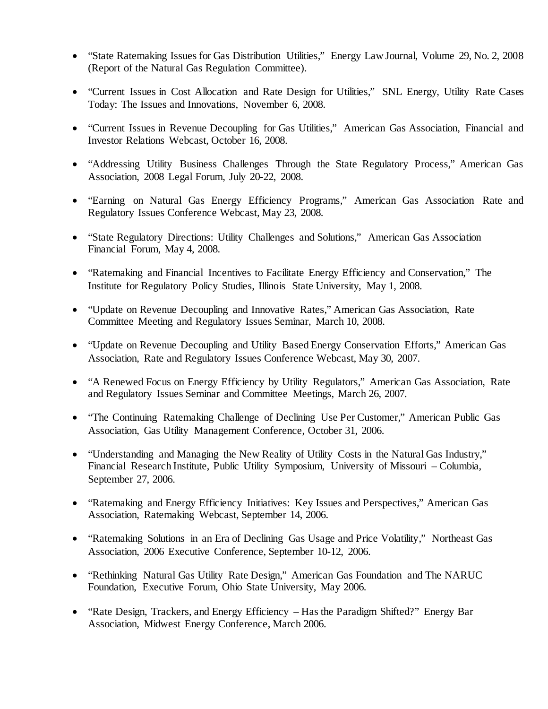- "State Ratemaking Issues for Gas Distribution Utilities," Energy Law Journal, Volume 29, No. 2, 2008 (Report of the Natural Gas Regulation Committee).
- "Current Issues in Cost Allocation and Rate Design for Utilities," SNL Energy, Utility Rate Cases Today: The Issues and Innovations, November 6, 2008.
- "Current Issues in Revenue Decoupling for Gas Utilities," American Gas Association, Financial and Investor Relations Webcast, October 16, 2008.
- "Addressing Utility Business Challenges Through the State Regulatory Process," American Gas Association, 2008 Legal Forum, July 20-22, 2008.
- "Earning on Natural Gas Energy Efficiency Programs," American Gas Association Rate and Regulatory Issues Conference Webcast, May 23, 2008.
- "State Regulatory Directions: Utility Challenges and Solutions," American Gas Association Financial Forum, May 4, 2008.
- "Ratemaking and Financial Incentives to Facilitate Energy Efficiency and Conservation," The Institute for Regulatory Policy Studies, Illinois State University, May 1, 2008.
- "Update on Revenue Decoupling and Innovative Rates," American Gas Association, Rate Committee Meeting and Regulatory Issues Seminar, March 10, 2008.
- "Update on Revenue Decoupling and Utility Based Energy Conservation Efforts," American Gas Association, Rate and Regulatory Issues Conference Webcast, May 30, 2007.
- "A Renewed Focus on Energy Efficiency by Utility Regulators," American Gas Association, Rate and Regulatory Issues Seminar and Committee Meetings, March 26, 2007.
- "The Continuing Ratemaking Challenge of Declining Use Per Customer," American Public Gas Association, Gas Utility Management Conference, October 31, 2006.
- "Understanding and Managing the New Reality of Utility Costs in the Natural Gas Industry," Financial Research Institute, Public Utility Symposium, University of Missouri – Columbia, September 27, 2006.
- "Ratemaking and Energy Efficiency Initiatives: Key Issues and Perspectives," American Gas Association, Ratemaking Webcast, September 14, 2006.
- "Ratemaking Solutions in an Era of Declining Gas Usage and Price Volatility," Northeast Gas Association, 2006 Executive Conference, September 10-12, 2006.
- "Rethinking Natural Gas Utility Rate Design," American Gas Foundation and The NARUC Foundation, Executive Forum, Ohio State University, May 2006.
- "Rate Design, Trackers, and Energy Efficiency Has the Paradigm Shifted?" Energy Bar Association, Midwest Energy Conference, March 2006.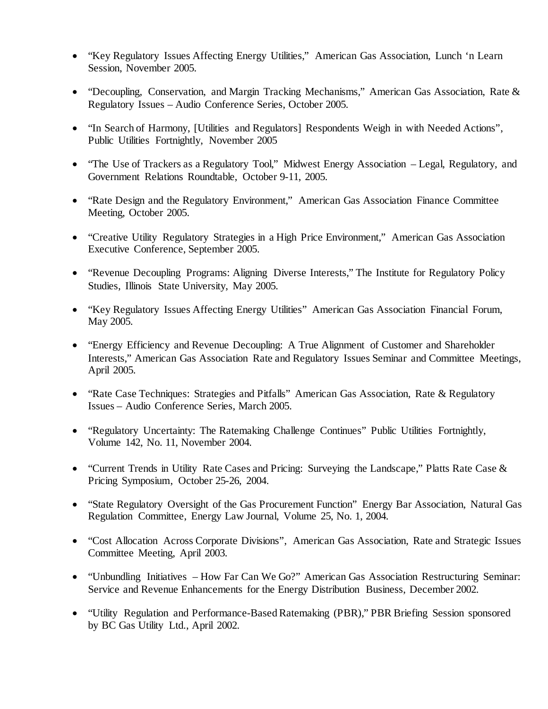- "Key Regulatory Issues Affecting Energy Utilities," American Gas Association, Lunch 'n Learn Session, November 2005.
- "Decoupling, Conservation, and Margin Tracking Mechanisms," American Gas Association, Rate & Regulatory Issues – Audio Conference Series, October 2005.
- "In Search of Harmony, [Utilities and Regulators] Respondents Weigh in with Needed Actions", Public Utilities Fortnightly, November 2005
- "The Use of Trackers as a Regulatory Tool," Midwest Energy Association Legal, Regulatory, and Government Relations Roundtable, October 9-11, 2005.
- "Rate Design and the Regulatory Environment," American Gas Association Finance Committee Meeting, October 2005.
- "Creative Utility Regulatory Strategies in a High Price Environment," American Gas Association Executive Conference, September 2005.
- "Revenue Decoupling Programs: Aligning Diverse Interests," The Institute for Regulatory Policy Studies, Illinois State University, May 2005.
- "Key Regulatory Issues Affecting Energy Utilities" American Gas Association Financial Forum, May 2005.
- "Energy Efficiency and Revenue Decoupling: A True Alignment of Customer and Shareholder Interests," American Gas Association Rate and Regulatory Issues Seminar and Committee Meetings, April 2005.
- "Rate Case Techniques: Strategies and Pitfalls" American Gas Association, Rate & Regulatory Issues – Audio Conference Series, March 2005.
- "Regulatory Uncertainty: The Ratemaking Challenge Continues" Public Utilities Fortnightly, Volume 142, No. 11, November 2004.
- "Current Trends in Utility Rate Cases and Pricing: Surveying the Landscape," Platts Rate Case & Pricing Symposium, October 25-26, 2004.
- "State Regulatory Oversight of the Gas Procurement Function" Energy Bar Association, Natural Gas Regulation Committee, Energy Law Journal, Volume 25, No. 1, 2004.
- "Cost Allocation Across Corporate Divisions", American Gas Association, Rate and Strategic Issues Committee Meeting, April 2003.
- "Unbundling Initiatives How Far Can We Go?" American Gas Association Restructuring Seminar: Service and Revenue Enhancements for the Energy Distribution Business, December 2002.
- "Utility Regulation and Performance-Based Ratemaking (PBR)," PBR Briefing Session sponsored by BC Gas Utility Ltd., April 2002.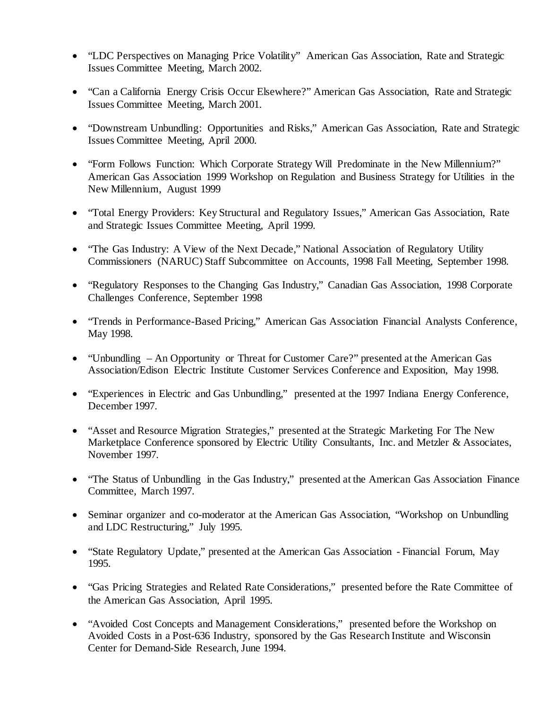- "LDC Perspectives on Managing Price Volatility" American Gas Association, Rate and Strategic Issues Committee Meeting, March 2002.
- "Can a California Energy Crisis Occur Elsewhere?" American Gas Association, Rate and Strategic Issues Committee Meeting, March 2001.
- "Downstream Unbundling: Opportunities and Risks," American Gas Association, Rate and Strategic Issues Committee Meeting, April 2000.
- "Form Follows Function: Which Corporate Strategy Will Predominate in the New Millennium?" American Gas Association 1999 Workshop on Regulation and Business Strategy for Utilities in the New Millennium, August 1999
- "Total Energy Providers: Key Structural and Regulatory Issues," American Gas Association, Rate and Strategic Issues Committee Meeting, April 1999.
- "The Gas Industry: A View of the Next Decade," National Association of Regulatory Utility Commissioners (NARUC) Staff Subcommittee on Accounts, 1998 Fall Meeting, September 1998.
- "Regulatory Responses to the Changing Gas Industry," Canadian Gas Association, 1998 Corporate Challenges Conference, September 1998
- "Trends in Performance-Based Pricing," American Gas Association Financial Analysts Conference, May 1998.
- "Unbundling An Opportunity or Threat for Customer Care?" presented at the American Gas Association/Edison Electric Institute Customer Services Conference and Exposition, May 1998.
- "Experiences in Electric and Gas Unbundling," presented at the 1997 Indiana Energy Conference, December 1997.
- "Asset and Resource Migration Strategies," presented at the Strategic Marketing For The New Marketplace Conference sponsored by Electric Utility Consultants, Inc. and Metzler & Associates, November 1997.
- "The Status of Unbundling in the Gas Industry," presented at the American Gas Association Finance Committee, March 1997.
- Seminar organizer and co-moderator at the American Gas Association, "Workshop on Unbundling and LDC Restructuring," July 1995.
- "State Regulatory Update," presented at the American Gas Association Financial Forum, May 1995.
- "Gas Pricing Strategies and Related Rate Considerations," presented before the Rate Committee of the American Gas Association, April 1995.
- "Avoided Cost Concepts and Management Considerations," presented before the Workshop on Avoided Costs in a Post-636 Industry, sponsored by the Gas Research Institute and Wisconsin Center for Demand-Side Research, June 1994.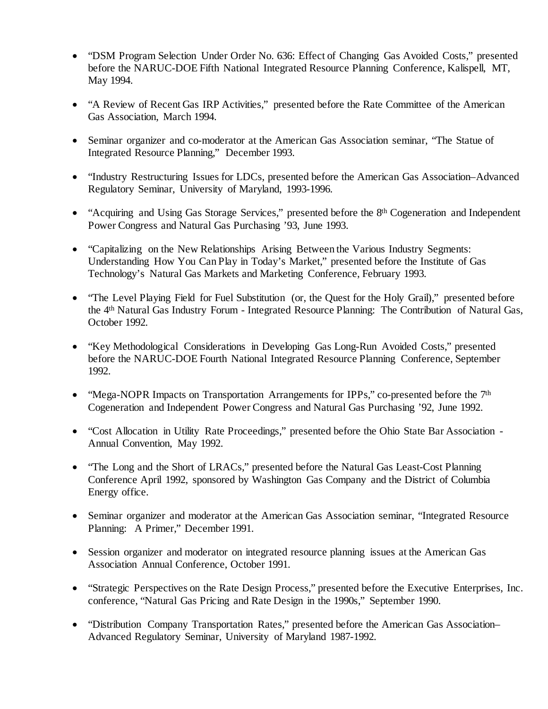- "DSM Program Selection Under Order No. 636: Effect of Changing Gas Avoided Costs," presented before the NARUC-DOE Fifth National Integrated Resource Planning Conference, Kalispell, MT, May 1994.
- "A Review of Recent Gas IRP Activities," presented before the Rate Committee of the American Gas Association, March 1994.
- Seminar organizer and co-moderator at the American Gas Association seminar, "The Statue of Integrated Resource Planning," December 1993.
- "Industry Restructuring Issues for LDCs, presented before the American Gas Association–Advanced Regulatory Seminar, University of Maryland, 1993-1996.
- "Acquiring and Using Gas Storage Services," presented before the 8<sup>th</sup> Cogeneration and Independent Power Congress and Natural Gas Purchasing '93, June 1993.
- "Capitalizing on the New Relationships Arising Between the Various Industry Segments: Understanding How You Can Play in Today's Market," presented before the Institute of Gas Technology's Natural Gas Markets and Marketing Conference, February 1993.
- "The Level Playing Field for Fuel Substitution (or, the Quest for the Holy Grail)," presented before the 4th Natural Gas Industry Forum - Integrated Resource Planning: The Contribution of Natural Gas, October 1992.
- "Key Methodological Considerations in Developing Gas Long-Run Avoided Costs," presented before the NARUC-DOE Fourth National Integrated Resource Planning Conference, September 1992.
- "Mega-NOPR Impacts on Transportation Arrangements for IPPs," co-presented before the 7<sup>th</sup> Cogeneration and Independent Power Congress and Natural Gas Purchasing '92, June 1992.
- "Cost Allocation in Utility Rate Proceedings," presented before the Ohio State Bar Association -Annual Convention, May 1992.
- "The Long and the Short of LRACs," presented before the Natural Gas Least-Cost Planning Conference April 1992, sponsored by Washington Gas Company and the District of Columbia Energy office.
- Seminar organizer and moderator at the American Gas Association seminar, "Integrated Resource" Planning: A Primer," December 1991.
- Session organizer and moderator on integrated resource planning issues at the American Gas Association Annual Conference, October 1991.
- "Strategic Perspectives on the Rate Design Process," presented before the Executive Enterprises, Inc. conference, "Natural Gas Pricing and Rate Design in the 1990s," September 1990.
- "Distribution Company Transportation Rates," presented before the American Gas Association– Advanced Regulatory Seminar, University of Maryland 1987-1992.